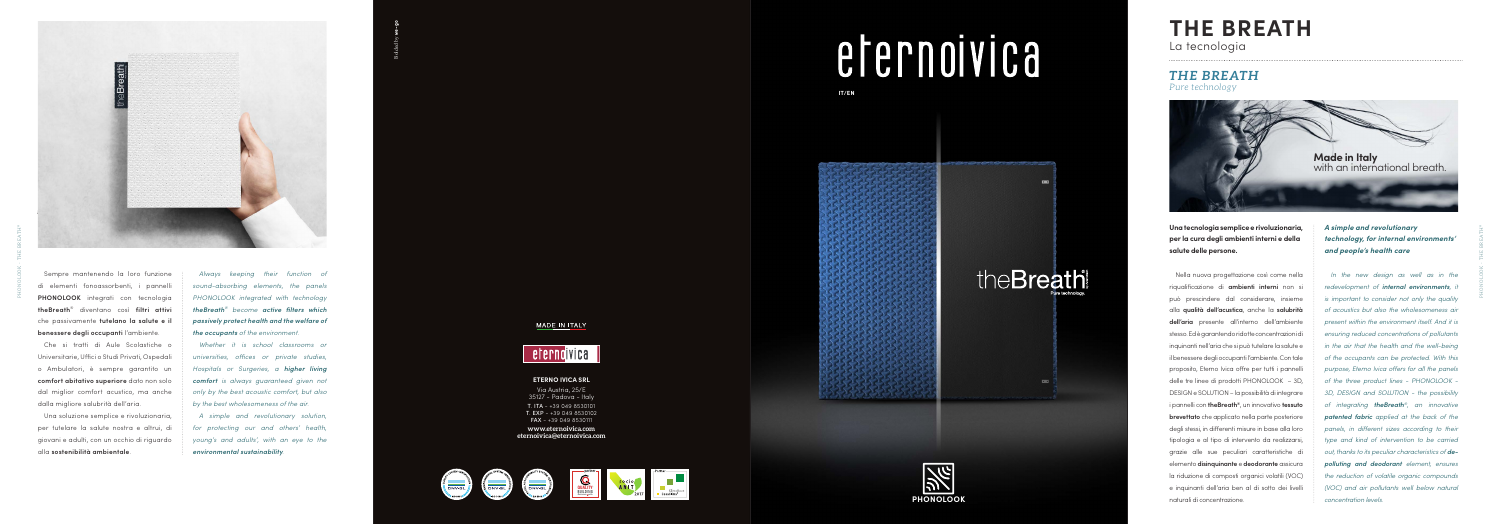**IT/EN**





### **ETERNO IVICA SRL**

Via Austria, 25/E 35127 - Padova - Italy

T. ITA - +39 049 8530101 T. EXP - +39 049 8530102 FAX - +39 049 8530111

**www.eternoivica.com eternoivica@eternoivica.com**





## MADE IN ITALY







# efernoivica

**Una tecnologia semplice e rivoluzionaria, per la cura degli ambienti interni e della salute delle persone.**

Nella nuova progettazione così come nella riqualificazione di **ambienti interni** non si può prescindere dal considerare, insieme alla **qualità dell'acustica**, anche la **salubrità dell'aria** presente all'interno dell'ambiente stesso. Ed è garantendo ridotte concentrazioni di inquinanti nell'aria che si può tutelare la salute e il benessere degli occupanti l'ambiente. Con tale proposito, Eterno Ivica offre per tutti i pannelli delle tre linee di prodotti PHONOLOOK – 3D, DESIGN e SOLUTION – la possibilità di integrare i pannelli con **theBreath ®**, un innovativo **tessuto brevettato** che applicato nella parte posteriore degli stessi, in differenti misure in base alla loro tipologia e al tipo di intervento da realizzarsi, grazie alle sue peculiari caratteristiche di elemento **disinquinante** e **deodorante** assicura la riduzione di composti organici volatili (VOC) e inquinanti dell'aria ben al di sotto dei livelli naturali di concentrazione.

*A simple and revolutionary technology, for internal environments' and people's health care In the new design as well as in the redevelopment of internal environments, it is important to consider not only the quality of acoustics but also the wholesomeness air present within the environment itself. And it is ensuring reduced concentrations of pollutants in the air that the health and the well-being of the occupants can be protected. With this purpose, Eterno Ivica offers for all the panels of the three product lines - PHONOLOOK - 3D, DESIGN and SOLUTION - the possibility of integrating theBreath ®, an innovative patented fabric applied at the back of the panels, in different sizes according to their type and kind of intervention to be carried out, thanks to its peculiar characteristics of depolluting and deodorant element, ensures the reduction of volatile organic compounds (VOC) and air pollutants well below natural concentration levels.*

# **THE BREATH** La tecnologia

*THE BREATH Pure technology*

Sempre mantenendo la loro funzione di elementi fonoassorbenti, i pannelli **PHONOLOOK** integrati con tecnologia **theBreath** ® diventano così **filtri attivi** che passivamente **tutelano la salute e il benessere degli occupanti** l'ambiente.

Che si tratti di Aule Scolastiche o Universitarie, Uffici o Studi Privati, Ospedali o Ambulatori, è sempre garantito un **comfort abitativo superiore** dato non solo dal miglior comfort acustico, ma anche dalla migliore salubrità dell'aria.

Una soluzione semplice e rivoluzionaria, per tutelare la salute nostra e altrui, di giovani e adulti, con un occhio di riguardo alla **sostenibilità ambientale** .

*Always keeping their function of sound-absorbing elements, the panels PHONOLOOK integrated with technology theBreath ® become active filters which passively protect health and the welfare of the occupants of the environment.* 

*Whether it is school classrooms or universities, offices or private studies, Hospitals or Surgeries, a higher living comfort is always guaranteed given not only by the best acoustic comfort, but also by the best wholesomeness of the air.* 

*A simple and revolutionary solution, for protecting our and others' health, young's and adults', with an eye to the environmental sustainability.*